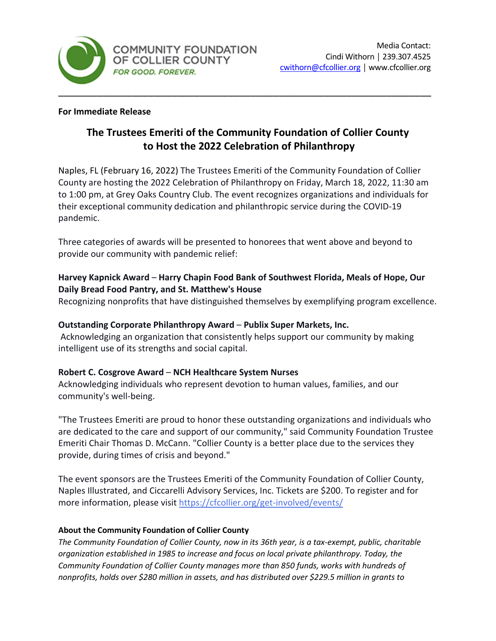

#### **For Immediate Release**

# **The Trustees Emeriti of the Community Foundation of Collier County to Host the 2022 Celebration of Philanthropy**

Naples, FL (February 16, 2022) The Trustees Emeriti of the Community Foundation of Collier County are hosting the 2022 Celebration of Philanthropy on Friday, March 18, 2022, 11:30 am to 1:00 pm, at Grey Oaks Country Club. The event recognizes organizations and individuals for their exceptional community dedication and philanthropic service during the COVID-19 pandemic.

Three categories of awards will be presented to honorees that went above and beyond to provide our community with pandemic relief:

# **Harvey Kapnick Award** – **Harry Chapin Food Bank of Southwest Florida, Meals of Hope, Our Daily Bread Food Pantry, and St. Matthew's House**

Recognizing nonprofits that have distinguished themselves by exemplifying program excellence.

# **Outstanding Corporate Philanthropy Award** – **Publix Super Markets, Inc.**

Acknowledging an organization that consistently helps support our community by making intelligent use of its strengths and social capital.

## **Robert C. Cosgrove Award** – **NCH Healthcare System Nurses**

Acknowledging individuals who represent devotion to human values, families, and our community's well-being.

"The Trustees Emeriti are proud to honor these outstanding organizations and individuals who are dedicated to the care and support of our community," said Community Foundation Trustee Emeriti Chair Thomas D. McCann. "Collier County is a better place due to the services they provide, during times of crisis and beyond."

The event sponsors are the Trustees Emeriti of the Community Foundation of Collier County, Naples Illustrated, and Ciccarelli Advisory Services, Inc. Tickets are \$200. To register and for more information, please visit <https://cfcollier.org/get-involved/events/>

## **About the Community Foundation of Collier County**

*The Community Foundation of Collier County, now in its 36th year, is a tax-exempt, public, charitable organization established in 1985 to increase and focus on local private philanthropy. Today, the Community Foundation of Collier County manages more than 850 funds, works with hundreds of nonprofits, holds over \$280 million in assets, and has distributed over \$229.5 million in grants to*